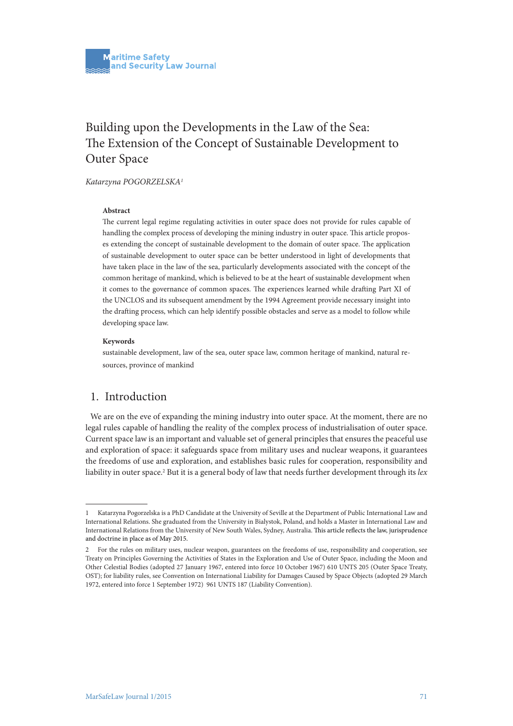# Building upon the Developments in the Law of the Sea: The Extension of the Concept of Sustainable Development to Outer Space

*Katarzyna POGORZELSKA1*

#### **Abstract**

The current legal regime regulating activities in outer space does not provide for rules capable of handling the complex process of developing the mining industry in outer space. This article proposes extending the concept of sustainable development to the domain of outer space. The application of sustainable development to outer space can be better understood in light of developments that have taken place in the law of the sea, particularly developments associated with the concept of the common heritage of mankind, which is believed to be at the heart of sustainable development when it comes to the governance of common spaces. The experiences learned while drafting Part XI of the UNCLOS and its subsequent amendment by the 1994 Agreement provide necessary insight into the drafting process, which can help identify possible obstacles and serve as a model to follow while developing space law.

#### **Keywords**

sustainable development, law of the sea, outer space law, common heritage of mankind, natural resources, province of mankind

### 1. Introduction

We are on the eve of expanding the mining industry into outer space. At the moment, there are no legal rules capable of handling the reality of the complex process of industrialisation of outer space. Current space law is an important and valuable set of general principles that ensures the peaceful use and exploration of space: it safeguards space from military uses and nuclear weapons, it guarantees the freedoms of use and exploration, and establishes basic rules for cooperation, responsibility and liability in outer space.<sup>2</sup> But it is a general body of law that needs further development through its *lex* 

<sup>1</sup> Katarzyna Pogorzelska is a PhD Candidate at the University of Seville at the Department of Public International Law and International Relations. She graduated from the University in Bialystok, Poland, and holds a Master in International Law and International Relations from the University of New South Wales, Sydney, Australia. This article reflects the law, jurisprudence and doctrine in place as of May 2015.

<sup>2</sup> For the rules on military uses, nuclear weapon, guarantees on the freedoms of use, responsibility and cooperation, see Treaty on Principles Governing the Activities of States in the Exploration and Use of Outer Space, including the Moon and Other Celestial Bodies (adopted 27 January 1967, entered into force 10 October 1967) 610 UNTS 205 (Outer Space Treaty, OST); for liability rules, see Convention on International Liability for Damages Caused by Space Objects (adopted 29 March 1972, entered into force 1 September 1972) 961 UNTS 187 (Liability Convention).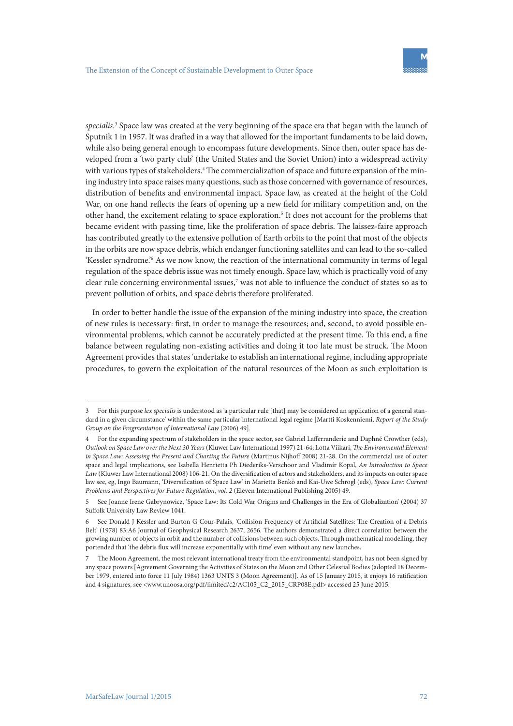*specialis*. 3 Space law was created at the very beginning of the space era that began with the launch of Sputnik 1 in 1957. It was drafted in a way that allowed for the important fundaments to be laid down, while also being general enough to encompass future developments. Since then, outer space has developed from a 'two party club' (the United States and the Soviet Union) into a widespread activity with various types of stakeholders.4 The commercialization of space and future expansion of the mining industry into space raises many questions, such as those concerned with governance of resources, distribution of benefits and environmental impact. Space law, as created at the height of the Cold War, on one hand reflects the fears of opening up a new field for military competition and, on the other hand, the excitement relating to space exploration.<sup>5</sup> It does not account for the problems that became evident with passing time, like the proliferation of space debris. The laissez-faire approach has contributed greatly to the extensive pollution of Earth orbits to the point that most of the objects in the orbits are now space debris, which endanger functioning satellites and can lead to the so-called 'Kessler syndrome.'6 As we now know, the reaction of the international community in terms of legal regulation of the space debris issue was not timely enough. Space law, which is practically void of any clear rule concerning environmental issues,<sup>7</sup> was not able to influence the conduct of states so as to prevent pollution of orbits, and space debris therefore proliferated.

 In order to better handle the issue of the expansion of the mining industry into space, the creation of new rules is necessary: first, in order to manage the resources; and, second, to avoid possible environmental problems, which cannot be accurately predicted at the present time. To this end, a fine balance between regulating non-existing activities and doing it too late must be struck. The Moon Agreement provides that states 'undertake to establish an international regime, including appropriate procedures, to govern the exploitation of the natural resources of the Moon as such exploitation is

<sup>3</sup> For this purpose *lex specialis* is understood as 'a particular rule [that] may be considered an application of a general standard in a given circumstance' within the same particular international legal regime [Martti Koskenniemi, *Report of the Study Group on the Fragmentation of International Law* (2006) 49].

<sup>4</sup> For the expanding spectrum of stakeholders in the space sector, see Gabriel Lafferranderie and Daphné Crowther (eds), *Outlook on Space Law over the Next 30 Years* (Kluwer Law International 1997) 21-64; Lotta Viikari, *The Environmental Element in Space Law: Assessing the Present and Charting the Future* (Martinus Nijhoff 2008) 21-28. On the commercial use of outer space and legal implications, see Isabella Henrietta Ph Diederiks-Verschoor and Vladimír Kopal, *An Introduction to Space Law* (Kluwer Law International 2008) 106-21. On the diversification of actors and stakeholders, and its impacts on outer space law see, eg, Ingo Baumann, 'Diversification of Space Law' in Marietta Benkö and Kai-Uwe Schrogl (eds), *Space Law: Current Problems and Perspectives for Future Regulation*, *vol. 2* (Eleven International Publishing 2005) 49.

<sup>5</sup> See Joanne Irene Gabrynowicz, 'Space Law: Its Cold War Origins and Challenges in the Era of Globalization' (2004) 37 Suffolk University Law Review 1041.

<sup>6</sup> See Donald J Kessler and Burton G Cour-Palais, 'Collision Frequency of Artificial Satellites: The Creation of a Debris Belt' (1978) 83:A6 Journal of Geophysical Research 2637, 2656. The authors demonstrated a direct correlation between the growing number of objects in orbit and the number of collisions between such objects. Through mathematical modelling, they portended that 'the debris flux will increase exponentially with time' even without any new launches.

<sup>7</sup> The Moon Agreement, the most relevant international treaty from the environmental standpoint, has not been signed by any space powers [Agreement Governing the Activities of States on the Moon and Other Celestial Bodies (adopted 18 December 1979, entered into force 11 July 1984) 1363 UNTS 3 (Moon Agreement)]. As of 15 January 2015, it enjoys 16 ratification and 4 signatures, see <www.unoosa.org/pdf/limited/c2/AC105\_C2\_2015\_CRP08E.pdf> accessed 25 June 2015.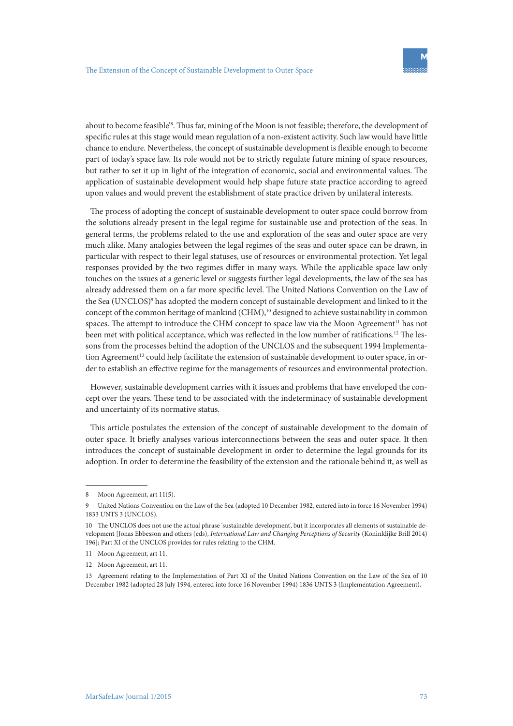about to become feasible<sup>'s</sup>. Thus far, mining of the Moon is not feasible; therefore, the development of specific rules at this stage would mean regulation of a non-existent activity. Such law would have little chance to endure. Nevertheless, the concept of sustainable development is flexible enough to become part of today's space law. Its role would not be to strictly regulate future mining of space resources, but rather to set it up in light of the integration of economic, social and environmental values. The application of sustainable development would help shape future state practice according to agreed upon values and would prevent the establishment of state practice driven by unilateral interests.

The process of adopting the concept of sustainable development to outer space could borrow from the solutions already present in the legal regime for sustainable use and protection of the seas. In general terms, the problems related to the use and exploration of the seas and outer space are very much alike. Many analogies between the legal regimes of the seas and outer space can be drawn, in particular with respect to their legal statuses, use of resources or environmental protection. Yet legal responses provided by the two regimes differ in many ways. While the applicable space law only touches on the issues at a generic level or suggests further legal developments, the law of the sea has already addressed them on a far more specific level. The United Nations Convention on the Law of the Sea (UNCLOS)<sup>9</sup> has adopted the modern concept of sustainable development and linked to it the concept of the common heritage of mankind  $(CHM)^{10}$  designed to achieve sustainability in common spaces. The attempt to introduce the CHM concept to space law via the Moon Agreement<sup>11</sup> has not been met with political acceptance, which was reflected in the low number of ratifications.<sup>12</sup> The lessons from the processes behind the adoption of the UNCLOS and the subsequent 1994 Implementation Agreement<sup>13</sup> could help facilitate the extension of sustainable development to outer space, in order to establish an effective regime for the managements of resources and environmental protection.

However, sustainable development carries with it issues and problems that have enveloped the concept over the years. These tend to be associated with the indeterminacy of sustainable development and uncertainty of its normative status.

This article postulates the extension of the concept of sustainable development to the domain of outer space. It briefly analyses various interconnections between the seas and outer space. It then introduces the concept of sustainable development in order to determine the legal grounds for its adoption. In order to determine the feasibility of the extension and the rationale behind it, as well as

<sup>8</sup> Moon Agreement, art 11(5).

<sup>9</sup> United Nations Convention on the Law of the Sea (adopted 10 December 1982, entered into in force 16 November 1994) 1833 UNTS 3 (UNCLOS).

<sup>10</sup> The UNCLOS does not use the actual phrase 'sustainable development', but it incorporates all elements of sustainable development [Jonas Ebbesson and others (eds), *International Law and Changing Perceptions of Security* (Koninklijke Brill 2014) 196]; Part XI of the UNCLOS provides for rules relating to the CHM.

<sup>11</sup> Moon Agreement, art 11.

<sup>12</sup> Moon Agreement, art 11.

<sup>13</sup> Agreement relating to the Implementation of Part XI of the United Nations Convention on the Law of the Sea of 10 December 1982 (adopted 28 July 1994, entered into force 16 November 1994) 1836 UNTS 3 (Implementation Agreement).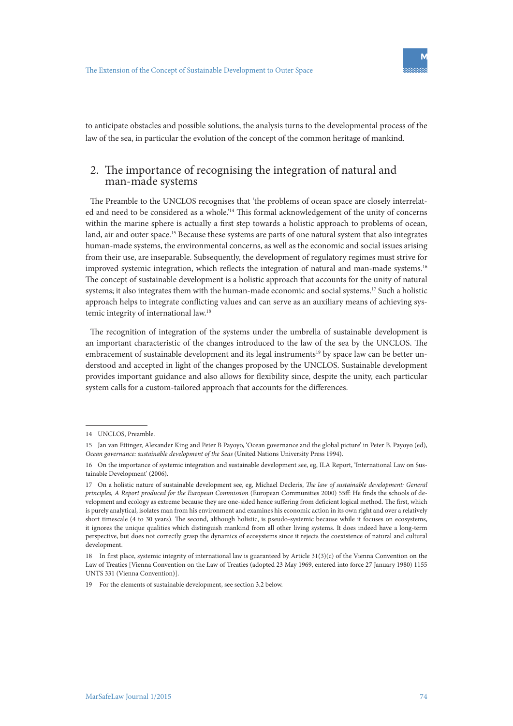

to anticipate obstacles and possible solutions, the analysis turns to the developmental process of the law of the sea, in particular the evolution of the concept of the common heritage of mankind.

# 2. The importance of recognising the integration of natural and man-made systems

The Preamble to the UNCLOS recognises that 'the problems of ocean space are closely interrelated and need to be considered as a whole.'14 This formal acknowledgement of the unity of concerns within the marine sphere is actually a first step towards a holistic approach to problems of ocean, land, air and outer space.<sup>15</sup> Because these systems are parts of one natural system that also integrates human-made systems, the environmental concerns, as well as the economic and social issues arising from their use, are inseparable. Subsequently, the development of regulatory regimes must strive for improved systemic integration, which reflects the integration of natural and man-made systems.<sup>16</sup> The concept of sustainable development is a holistic approach that accounts for the unity of natural systems; it also integrates them with the human-made economic and social systems.<sup>17</sup> Such a holistic approach helps to integrate conflicting values and can serve as an auxiliary means of achieving systemic integrity of international law.18

The recognition of integration of the systems under the umbrella of sustainable development is an important characteristic of the changes introduced to the law of the sea by the UNCLOS. The embracement of sustainable development and its legal instruments<sup>19</sup> by space law can be better understood and accepted in light of the changes proposed by the UNCLOS. Sustainable development provides important guidance and also allows for flexibility since, despite the unity, each particular system calls for a custom-tailored approach that accounts for the differences.

19 For the elements of sustainable development, see section 3.2 below.

<sup>14</sup> UNCLOS, Preamble.

<sup>15</sup> Jan van Ettinger, Alexander King and Peter B Payoyo, 'Ocean governance and the global picture' in Peter B. Payoyo (ed), *Ocean governance: sustainable development of the Seas* (United Nations University Press 1994).

<sup>16</sup> On the importance of systemic integration and sustainable development see, eg, ILA Report, 'International Law on Sustainable Development' (2006).

<sup>17</sup> On a holistic nature of sustainable development see, eg, Michael Decleris, *The law of sustainable development: General principles, A Report produced for the European Commission* (European Communities 2000) 55ff: He finds the schools of development and ecology as extreme because they are one-sided hence suffering from deficient logical method. The first, which is purely analytical, isolates man from his environment and examines his economic action in its own right and over a relatively short timescale (4 to 30 years). The second, although holistic, is pseudo-systemic because while it focuses on ecosystems, it ignores the unique qualities which distinguish mankind from all other living systems. It does indeed have a long-term perspective, but does not correctly grasp the dynamics of ecosystems since it rejects the coexistence of natural and cultural development.

<sup>18</sup> In first place, systemic integrity of international law is guaranteed by Article 31(3)(c) of the Vienna Convention on the Law of Treaties [Vienna Convention on the Law of Treaties (adopted 23 May 1969, entered into force 27 January 1980) 1155 UNTS 331 (Vienna Convention)].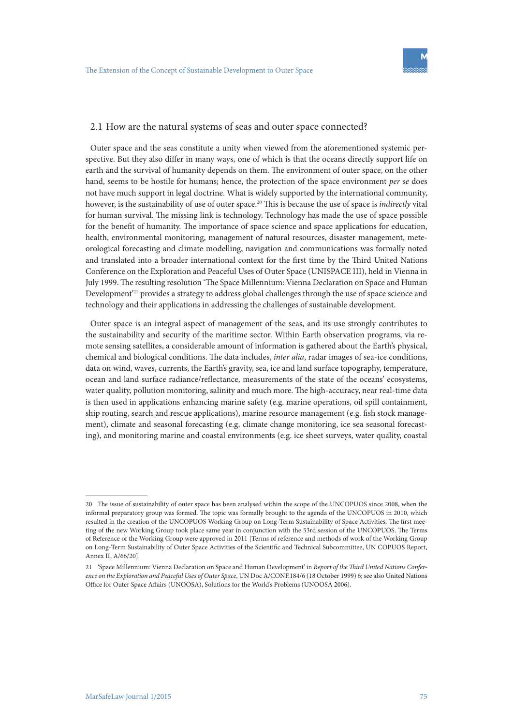#### 2.1 How are the natural systems of seas and outer space connected?

Outer space and the seas constitute a unity when viewed from the aforementioned systemic perspective. But they also differ in many ways, one of which is that the oceans directly support life on earth and the survival of humanity depends on them. The environment of outer space, on the other hand, seems to be hostile for humans; hence, the protection of the space environment *per se* does not have much support in legal doctrine. What is widely supported by the international community, however, is the sustainability of use of outer space.20 This is because the use of space is *indirectly* vital for human survival. The missing link is technology. Technology has made the use of space possible for the benefit of humanity. The importance of space science and space applications for education, health, environmental monitoring, management of natural resources, disaster management, meteorological forecasting and climate modelling, navigation and communications was formally noted and translated into a broader international context for the first time by the Third United Nations Conference on the Exploration and Peaceful Uses of Outer Space (UNISPACE III), held in Vienna in July 1999. The resulting resolution 'The Space Millennium: Vienna Declaration on Space and Human Development'21 provides a strategy to address global challenges through the use of space science and technology and their applications in addressing the challenges of sustainable development.

Outer space is an integral aspect of management of the seas, and its use strongly contributes to the sustainability and security of the maritime sector. Within Earth observation programs, via remote sensing satellites, a considerable amount of information is gathered about the Earth's physical, chemical and biological conditions. The data includes, *inter alia*, radar images of sea-ice conditions, data on wind, waves, currents, the Earth's gravity, sea, ice and land surface topography, temperature, ocean and land surface radiance/reflectance, measurements of the state of the oceans' ecosystems, water quality, pollution monitoring, salinity and much more. The high-accuracy, near real-time data is then used in applications enhancing marine safety (e.g. marine operations, oil spill containment, ship routing, search and rescue applications), marine resource management (e.g. fish stock management), climate and seasonal forecasting (e.g. climate change monitoring, ice sea seasonal forecasting), and monitoring marine and coastal environments (e.g. ice sheet surveys, water quality, coastal

<sup>20</sup> The issue of sustainability of outer space has been analysed within the scope of the UNCOPUOS since 2008, when the informal preparatory group was formed. The topic was formally brought to the agenda of the UNCOPUOS in 2010, which resulted in the creation of the UNCOPUOS Working Group on Long-Term Sustainability of Space Activities. The first meeting of the new Working Group took place same year in conjunction with the 53rd session of the UNCOPUOS. The Terms of Reference of the Working Group were approved in 2011 [Terms of reference and methods of work of the Working Group on Long-Term Sustainability of Outer Space Activities of the Scientific and Technical Subcommittee, UN COPUOS Report, Annex II, A/66/20].

<sup>21</sup> 'Space Millennium: Vienna Declaration on Space and Human Development' in *Report of the Third United Nations Conference on the Exploration and Peaceful Uses of Outer Space*, UN Doc A/CONF.184/6 (18 October 1999) 6; see also United Nations Office for Outer Space Affairs (UNOOSA), Solutions for the World's Problems (UNOOSA 2006).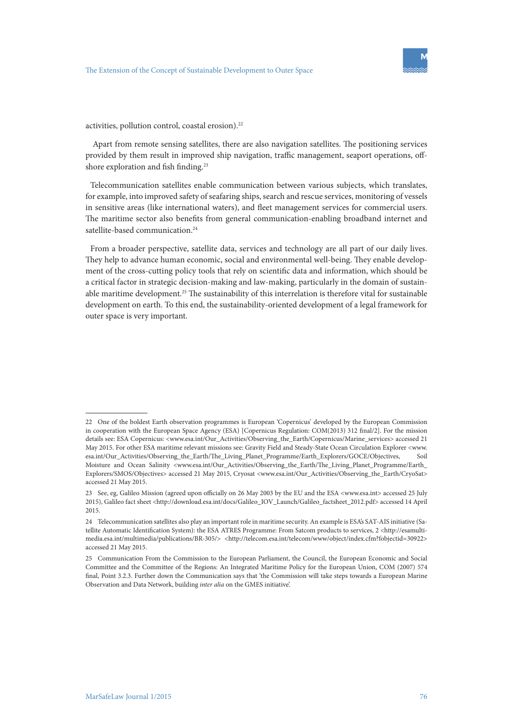activities, pollution control, coastal erosion).<sup>22</sup>

 Apart from remote sensing satellites, there are also navigation satellites. The positioning services provided by them result in improved ship navigation, traffic management, seaport operations, offshore exploration and fish finding.<sup>23</sup>

Telecommunication satellites enable communication between various subjects, which translates, for example, into improved safety of seafaring ships, search and rescue services, monitoring of vessels in sensitive areas (like international waters), and fleet management services for commercial users. The maritime sector also benefits from general communication-enabling broadband internet and satellite-based communication.<sup>24</sup>

From a broader perspective, satellite data, services and technology are all part of our daily lives. They help to advance human economic, social and environmental well-being. They enable development of the cross-cutting policy tools that rely on scientific data and information, which should be a critical factor in strategic decision-making and law-making, particularly in the domain of sustainable maritime development.25 The sustainability of this interrelation is therefore vital for sustainable development on earth. To this end, the sustainability-oriented development of a legal framework for outer space is very important.

<sup>22</sup> One of the boldest Earth observation programmes is European 'Copernicus' developed by the European Commission in cooperation with the European Space Agency (ESA) [Copernicus Regulation: COM(2013) 312 final/2]. For the mission details see: ESA Copernicus: <www.esa.int/Our\_Activities/Observing\_the\_Earth/Copernicus/Marine\_services> accessed 21 May 2015. For other ESA maritime relevant missions see: Gravity Field and Steady-State Ocean Circulation Explorer <www. esa.int/Our\_Activities/Observing\_the\_Earth/The\_Living\_Planet\_Programme/Earth\_Explorers/GOCE/Objectives, Soil Moisture and Ocean Salinity <www.esa.int/Our\_Activities/Observing\_the\_Earth/The\_Living\_Planet\_Programme/Earth\_ Explorers/SMOS/Objectives> accessed 21 May 2015, Cryosat <www.esa.int/Our\_Activities/Observing\_the\_Earth/CryoSat> accessed 21 May 2015.

<sup>23</sup> See, eg, Galileo Mission (agreed upon officially on 26 May 2003 by the EU and the ESA <www.esa.int> accessed 25 July 2015), Galileo fact sheet <http://download.esa.int/docs/Galileo\_IOV\_Launch/Galileo\_factsheet\_2012.pdf> accessed 14 April 2015.

<sup>24</sup> Telecommunication satellites also play an important role in maritime security. An example is ESA's SAT-AIS initiative (Satellite Automatic Identification System): the ESA ATRES Programme: From Satcom products to services, 2 <http://esamultimedia.esa.int/multimedia/publications/BR-305/> <http://telecom.esa.int/telecom/www/object/index.cfm?fobjectid=30922> accessed 21 May 2015.

<sup>25</sup> Communication From the Commission to the European Parliament, the Council, the European Economic and Social Committee and the Committee of the Regions: An Integrated Maritime Policy for the European Union, COM (2007) 574 final, Point 3.2.3. Further down the Communication says that 'the Commission will take steps towards a European Marine Observation and Data Network, building *inter alia* on the GMES initiative'.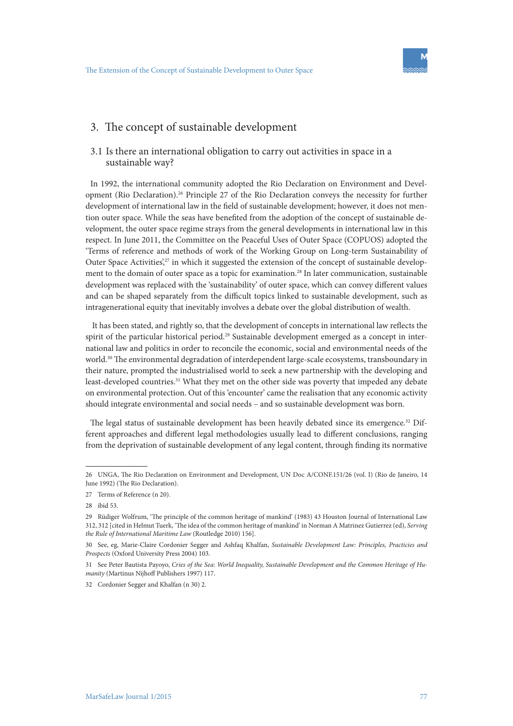

# 3. The concept of sustainable development

#### 3.1 Is there an international obligation to carry out activities in space in a sustainable way?

In 1992, the international community adopted the Rio Declaration on Environment and Development (Rio Declaration).26 Principle 27 of the Rio Declaration conveys the necessity for further development of international law in the field of sustainable development; however, it does not mention outer space. While the seas have benefited from the adoption of the concept of sustainable development, the outer space regime strays from the general developments in international law in this respect. In June 2011, the Committee on the Peaceful Uses of Outer Space (COPUOS) adopted the 'Terms of reference and methods of work of the Working Group on Long-term Sustainability of Outer Space Activities', $27$  in which it suggested the extension of the concept of sustainable development to the domain of outer space as a topic for examination.<sup>28</sup> In later communication, sustainable development was replaced with the 'sustainability' of outer space, which can convey different values and can be shaped separately from the difficult topics linked to sustainable development, such as intragenerational equity that inevitably involves a debate over the global distribution of wealth.

 It has been stated, and rightly so, that the development of concepts in international law reflects the spirit of the particular historical period.<sup>29</sup> Sustainable development emerged as a concept in international law and politics in order to reconcile the economic, social and environmental needs of the world.<sup>30</sup> The environmental degradation of interdependent large-scale ecosystems, transboundary in their nature, prompted the industrialised world to seek a new partnership with the developing and least-developed countries.<sup>31</sup> What they met on the other side was poverty that impeded any debate on environmental protection. Out of this 'encounter' came the realisation that any economic activity should integrate environmental and social needs – and so sustainable development was born.

The legal status of sustainable development has been heavily debated since its emergence.<sup>32</sup> Different approaches and different legal methodologies usually lead to different conclusions, ranging from the deprivation of sustainable development of any legal content, through finding its normative

<sup>26</sup> UNGA, The Rio Declaration on Environment and Development, UN Doc A/CONF.151/26 (vol. I) (Rio de Janeiro, 14 June 1992) (The Rio Declaration).

<sup>27</sup> Terms of Reference (n 20).

<sup>28</sup> ibid 53.

<sup>29</sup> Rüdiger Wolfrum, 'The principle of the common heritage of mankind' (1983) 43 Houston Journal of International Law 312, 312 [cited in Helmut Tuerk, 'The idea of the common heritage of mankind' in Norman A Matrinez Gutierrez (ed), *Serving the Rule of International Maritime Law* (Routledge 2010) 156].

<sup>30</sup> See, eg, Marie-Claire Cordonier Segger and Ashfaq Khalfan, *Sustainable Development Law: Principles, Practicies and Prospects* (Oxford University Press 2004) 103.

<sup>31</sup> See Peter Bautista Payoyo, *Cries of the Sea: World Inequality, Sustainable Development and the Common Heritage of Humanity* (Martinus Nijhoff Publishers 1997) 117.

<sup>32</sup> Cordonier Segger and Khalfan (n 30) 2.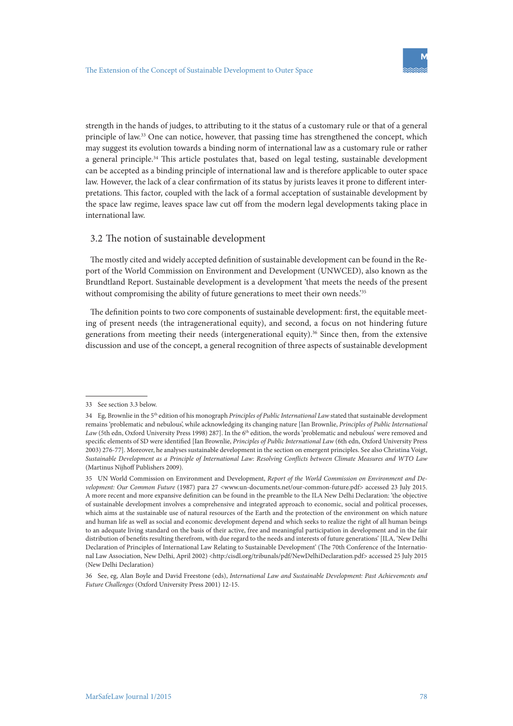strength in the hands of judges, to attributing to it the status of a customary rule or that of a general principle of law.<sup>33</sup> One can notice, however, that passing time has strengthened the concept, which may suggest its evolution towards a binding norm of international law as a customary rule or rather a general principle.34 This article postulates that, based on legal testing, sustainable development can be accepted as a binding principle of international law and is therefore applicable to outer space law. However, the lack of a clear confirmation of its status by jurists leaves it prone to different interpretations. This factor, coupled with the lack of a formal acceptation of sustainable development by the space law regime, leaves space law cut off from the modern legal developments taking place in international law.

#### 3.2 The notion of sustainable development

The mostly cited and widely accepted definition of sustainable development can be found in the Report of the World Commission on Environment and Development (UNWCED), also known as the Brundtland Report. Sustainable development is a development 'that meets the needs of the present without compromising the ability of future generations to meet their own needs.<sup>235</sup>

The definition points to two core components of sustainable development: first, the equitable meeting of present needs (the intragenerational equity), and second, a focus on not hindering future generations from meeting their needs (intergenerational equity).<sup>36</sup> Since then, from the extensive discussion and use of the concept, a general recognition of three aspects of sustainable development

<sup>33</sup> See section 3.3 below.

<sup>34</sup> Eg, Brownlie in the 5th edition of his monograph *Principles of Public International Law* stated that sustainable development remains 'problematic and nebulous', while acknowledging its changing nature [Ian Brownlie, *Principles of Public International*  Law (5th edn, Oxford University Press 1998) 287]. In the 6<sup>th</sup> edition, the words 'problematic and nebulous' were removed and specific elements of SD were identified [Ian Brownlie, *Principles of Public International Law* (6th edn, Oxford University Press 2003) 276-77]. Moreover, he analyses sustainable development in the section on emergent principles. See also Christina Voigt, *Sustainable Development as a Principle of International Law: Resolving Conflicts between Climate Measures and WTO Law* (Martinus Nijhoff Publishers 2009).

<sup>35</sup> UN World Commission on Environment and Development, *Report of the World Commission on Environment and Development: Our Common Future* (1987) para 27 <www.un-documents.net/our-common-future.pdf> accessed 23 July 2015. A more recent and more expansive definition can be found in the preamble to the ILA New Delhi Declaration: 'the objective of sustainable development involves a comprehensive and integrated approach to economic, social and political processes, which aims at the sustainable use of natural resources of the Earth and the protection of the environment on which nature and human life as well as social and economic development depend and which seeks to realize the right of all human beings to an adequate living standard on the basis of their active, free and meaningful participation in development and in the fair distribution of benefits resulting therefrom, with due regard to the needs and interests of future generations' [ILA, 'New Delhi Declaration of Principles of International Law Relating to Sustainable Development' (The 70th Conference of the International Law Association, New Delhi, April 2002) <http:/cisdl.org/tribunals/pdf/NewDelhiDeclaration.pdf> accessed 25 July 2015 (New Delhi Declaration)

<sup>36</sup> See, eg, Alan Boyle and David Freestone (eds), *International Law and Sustainable Development: Past Achievements and Future Challenges* (Oxford University Press 2001) 12-15.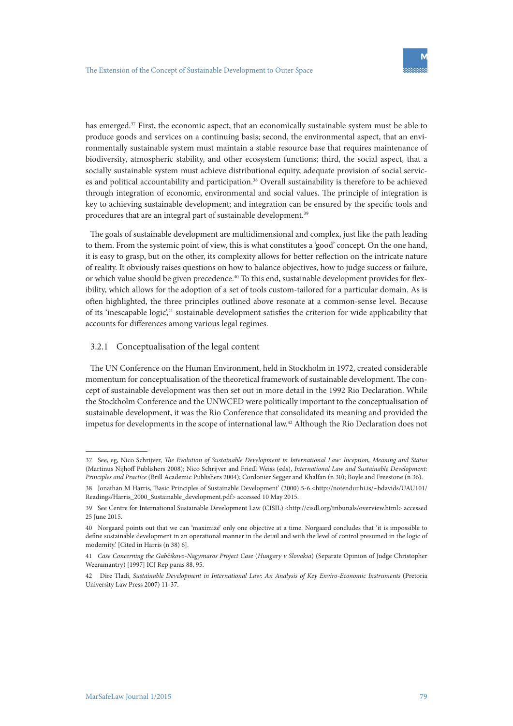has emerged.<sup>37</sup> First, the economic aspect, that an economically sustainable system must be able to produce goods and services on a continuing basis; second, the environmental aspect, that an environmentally sustainable system must maintain a stable resource base that requires maintenance of biodiversity, atmospheric stability, and other ecosystem functions; third, the social aspect, that a socially sustainable system must achieve distributional equity, adequate provision of social services and political accountability and participation.38 Overall sustainability is therefore to be achieved through integration of economic, environmental and social values. The principle of integration is key to achieving sustainable development; and integration can be ensured by the specific tools and procedures that are an integral part of sustainable development.<sup>39</sup>

The goals of sustainable development are multidimensional and complex, just like the path leading to them. From the systemic point of view, this is what constitutes a 'good' concept. On the one hand, it is easy to grasp, but on the other, its complexity allows for better reflection on the intricate nature of reality. It obviously raises questions on how to balance objectives, how to judge success or failure, or which value should be given precedence.40 To this end, sustainable development provides for flexibility, which allows for the adoption of a set of tools custom-tailored for a particular domain. As is often highlighted, the three principles outlined above resonate at a common-sense level. Because of its 'inescapable logic',<sup>41</sup> sustainable development satisfies the criterion for wide applicability that accounts for differences among various legal regimes.

#### 3.2.1 Conceptualisation of the legal content

The UN Conference on the Human Environment, held in Stockholm in 1972, created considerable momentum for conceptualisation of the theoretical framework of sustainable development. The concept of sustainable development was then set out in more detail in the 1992 Rio Declaration. While the Stockholm Conference and the UNWCED were politically important to the conceptualisation of sustainable development, it was the Rio Conference that consolidated its meaning and provided the impetus for developments in the scope of international law.42 Although the Rio Declaration does not

<sup>37</sup> See, eg, Nico Schrijver, *The Evolution of Sustainable Development in International Law: Inception, Meaning and Status* (Martinus Nijhoff Publishers 2008); Nico Schrijver and Friedl Weiss (eds), *International Law and Sustainable Development: Principles and Practice* (Brill Academic Publishers 2004); Cordonier Segger and Khalfan (n 30); Boyle and Freestone (n 36).

<sup>38</sup> Jonathan M Harris, 'Basic Principles of Sustainable Development' (2000) 5-6 <http://notendur.hi.is/~bdavids/UAU101/ Readings/Harris\_2000\_Sustainable\_development.pdf> accessed 10 May 2015.

<sup>39</sup> See Centre for International Sustainable Development Law (CISIL) <http://cisdl.org/tribunals/overview.html> accessed 25 June 2015.

<sup>40</sup> Norgaard points out that we can 'maximize' only one objective at a time. Norgaard concludes that 'it is impossible to define sustainable development in an operational manner in the detail and with the level of control presumed in the logic of modernity.' [Cited in Harris (n 38) 6].

<sup>41</sup> *Case Concerning the Gab*č*ikovo-Nagymaros Project Case* (*Hungary v Slovakia*) (Separate Opinion of Judge Christopher Weeramantry) [1997] ICJ Rep paras 88, 95.

<sup>42</sup> Dire Tladi, *Sustainable Development in International Law: An Analysis of Key Enviro-Economic Instruments* (Pretoria University Law Press 2007) 11-37.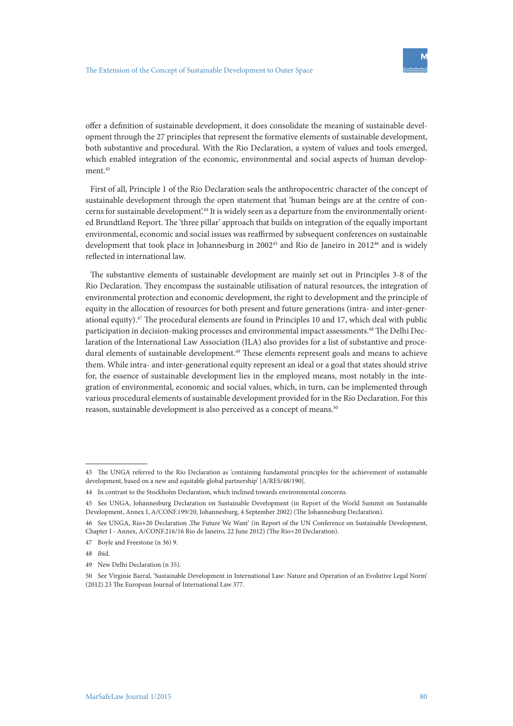offer a definition of sustainable development, it does consolidate the meaning of sustainable development through the 27 principles that represent the formative elements of sustainable development, both substantive and procedural. With the Rio Declaration, a system of values and tools emerged, which enabled integration of the economic, environmental and social aspects of human development.<sup>43</sup>

First of all, Principle 1 of the Rio Declaration seals the anthropocentric character of the concept of sustainable development through the open statement that 'human beings are at the centre of concerns for sustainable development.<sup>44</sup> It is widely seen as a departure from the environmentally oriented Brundtland Report. The 'three pillar' approach that builds on integration of the equally important environmental, economic and social issues was reaffirmed by subsequent conferences on sustainable development that took place in Johannesburg in 2002<sup>45</sup> and Rio de Janeiro in 2012<sup>46</sup> and is widely reflected in international law.

The substantive elements of sustainable development are mainly set out in Principles 3-8 of the Rio Declaration. They encompass the sustainable utilisation of natural resources, the integration of environmental protection and economic development, the right to development and the principle of equity in the allocation of resources for both present and future generations (intra- and inter-generational equity).47 The procedural elements are found in Principles 10 and 17, which deal with public participation in decision-making processes and environmental impact assessments.48 The Delhi Declaration of the International Law Association (ILA) also provides for a list of substantive and procedural elements of sustainable development.<sup>49</sup> These elements represent goals and means to achieve them. While intra- and inter-generational equity represent an ideal or a goal that states should strive for, the essence of sustainable development lies in the employed means, most notably in the integration of environmental, economic and social values, which, in turn, can be implemented through various procedural elements of sustainable development provided for in the Rio Declaration. For this reason, sustainable development is also perceived as a concept of means.<sup>50</sup>

<sup>43</sup> The UNGA referred to the Rio Declaration as 'containing fundamental principles for the achievement of sustainable development, based on a new and equitable global partnership' [A/RES/48/190].

<sup>44</sup> In contrast to the Stockholm Declaration, which inclined towards environmental concerns.

<sup>45</sup> See UNGA, Johannesburg Declaration on Sustainable Development (in Report of the World Summit on Sustainable Development, Annex I, A/CONF.199/20, Johannesburg, 4 September 2002) (The Johannesburg Declaration).

<sup>46</sup> See UNGA, Rio+20 Declaration 'The Future We Want' (in Report of the UN Conference on Sustainable Development, Chapter I - Annex, A/CONF.216/16 Rio de Janeiro, 22 June 2012) (The Rio+20 Declaration).

<sup>47</sup> Boyle and Freestone (n 36) 9.

<sup>48</sup> ibid.

<sup>49</sup> New Delhi Declaration (n 35).

<sup>50</sup> See Virginie Barral, 'Sustainable Development in International Law: Nature and Operation of an Evolutive Legal Norm' (2012) 23 The European Journal of International Law 377.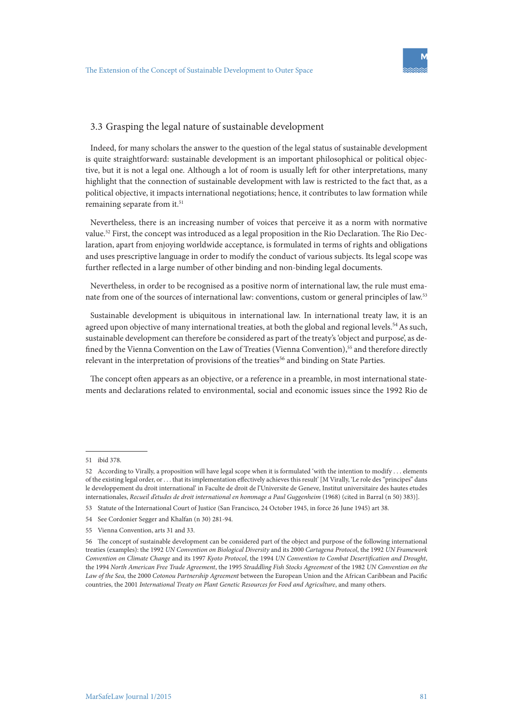#### 3.3 Grasping the legal nature of sustainable development

Indeed, for many scholars the answer to the question of the legal status of sustainable development is quite straightforward: sustainable development is an important philosophical or political objective, but it is not a legal one. Although a lot of room is usually left for other interpretations, many highlight that the connection of sustainable development with law is restricted to the fact that, as a political objective, it impacts international negotiations; hence, it contributes to law formation while remaining separate from it.<sup>51</sup>

Nevertheless, there is an increasing number of voices that perceive it as a norm with normative value.52 First, the concept was introduced as a legal proposition in the Rio Declaration. The Rio Declaration, apart from enjoying worldwide acceptance, is formulated in terms of rights and obligations and uses prescriptive language in order to modify the conduct of various subjects. Its legal scope was further reflected in a large number of other binding and non-binding legal documents.

Nevertheless, in order to be recognised as a positive norm of international law, the rule must emanate from one of the sources of international law: conventions, custom or general principles of law.<sup>53</sup>

Sustainable development is ubiquitous in international law. In international treaty law, it is an agreed upon objective of many international treaties, at both the global and regional levels.<sup>54</sup> As such, sustainable development can therefore be considered as part of the treaty's 'object and purpose', as defined by the Vienna Convention on the Law of Treaties (Vienna Convention),<sup>55</sup> and therefore directly relevant in the interpretation of provisions of the treaties<sup>56</sup> and binding on State Parties.

The concept often appears as an objective, or a reference in a preamble, in most international statements and declarations related to environmental, social and economic issues since the 1992 Rio de

<sup>51</sup> ibid 378.

<sup>52</sup> According to Virally, a proposition will have legal scope when it is formulated 'with the intention to modify . . . elements of the existing legal order, or . . . that its implementation effectively achieves this result' [M Virally, 'Le role des "principes" dans le developpement du droit international' in Faculte de droit de l'Universite de Geneve, Institut universitaire des hautes etudes internationales, *Recueil d'etudes de droit international en hommage a Paul Guggenheim* (1968) (cited in Barral (n 50) 383)].

<sup>53</sup> Statute of the International Court of Justice (San Francisco, 24 October 1945, in force 26 June 1945) art 38.

<sup>54</sup> See Cordonier Segger and Khalfan (n 30) 281-94.

<sup>55</sup> Vienna Convention, arts 31 and 33.

<sup>56</sup> The concept of sustainable development can be considered part of the object and purpose of the following international treaties (examples): the 1992 *UN Convention on Biological Diversity* and its 2000 *Cartagena Protocol*, the 1992 *UN Framework Convention on Climate Change* and its 1997 *Kyoto Protocol*, the 1994 *UN Convention to Combat Desertification and Drought*, the 1994 *North American Free Trade Agreement*, the 1995 *Straddling Fish Stocks Agreement* of the 1982 *UN Convention on the Law of the Sea,* the 2000 *Cotonou Partnership Agreement* between the European Union and the African Caribbean and Pacific countries, the 2001 *International Treaty on Plant Genetic Resources for Food and Agriculture*, and many others.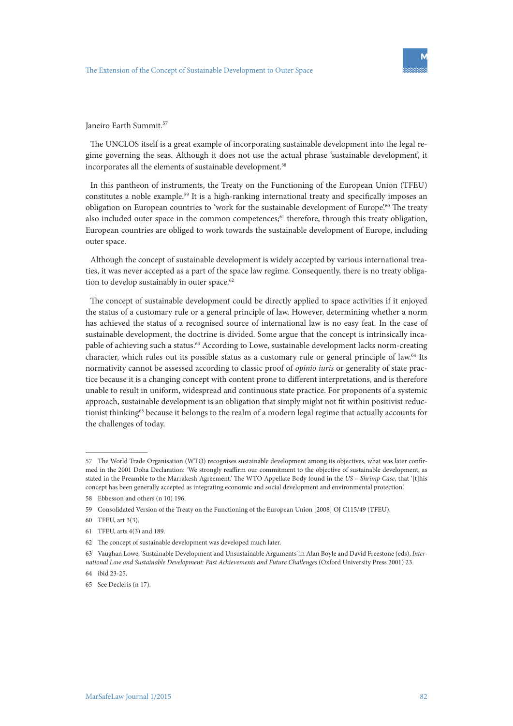Janeiro Earth Summit.<sup>57</sup>

The UNCLOS itself is a great example of incorporating sustainable development into the legal regime governing the seas. Although it does not use the actual phrase 'sustainable development', it incorporates all the elements of sustainable development.<sup>58</sup>

In this pantheon of instruments, the Treaty on the Functioning of the European Union (TFEU) constitutes a noble example.59 It is a high-ranking international treaty and specifically imposes an obligation on European countries to 'work for the sustainable development of Europe'.<sup>60</sup> The treaty also included outer space in the common competences; $61$  therefore, through this treaty obligation, European countries are obliged to work towards the sustainable development of Europe, including outer space.

Although the concept of sustainable development is widely accepted by various international treaties, it was never accepted as a part of the space law regime. Consequently, there is no treaty obligation to develop sustainably in outer space.<sup>62</sup>

The concept of sustainable development could be directly applied to space activities if it enjoyed the status of a customary rule or a general principle of law. However, determining whether a norm has achieved the status of a recognised source of international law is no easy feat. In the case of sustainable development, the doctrine is divided. Some argue that the concept is intrinsically incapable of achieving such a status.<sup>63</sup> According to Lowe, sustainable development lacks norm-creating character, which rules out its possible status as a customary rule or general principle of law.64 Its normativity cannot be assessed according to classic proof of *opinio iuris* or generality of state practice because it is a changing concept with content prone to different interpretations, and is therefore unable to result in uniform, widespread and continuous state practice. For proponents of a systemic approach, sustainable development is an obligation that simply might not fit within positivist reductionist thinking<sup>65</sup> because it belongs to the realm of a modern legal regime that actually accounts for the challenges of today.

<sup>57</sup> The World Trade Organisation (WTO) recognises sustainable development among its objectives, what was later confirmed in the 2001 Doha Declaration: *'*We strongly reaffirm our commitment to the objective of sustainable development, as stated in the Preamble to the Marrakesh Agreement.' The WTO Appellate Body found in the *US – Shrimp Case*, that '[t]his concept has been generally accepted as integrating economic and social development and environmental protection.'

<sup>58</sup> Ebbesson and others (n 10) 196.

<sup>59</sup> Consolidated Version of the Treaty on the Functioning of the European Union [2008] OJ C115/49 (TFEU).

<sup>60</sup> TFEU, art 3(3).

<sup>61</sup> TFEU, arts 4(3) and 189.

<sup>62</sup> The concept of sustainable development was developed much later.

<sup>63</sup> Vaughan Lowe, 'Sustainable Development and Unsustainable Arguments' in Alan Boyle and David Freestone (eds), *International Law and Sustainable Development: Past Achievements and Future Challenges* (Oxford University Press 2001) 23.

<sup>64</sup> ibid 23-25.

<sup>65</sup> See Decleris (n 17).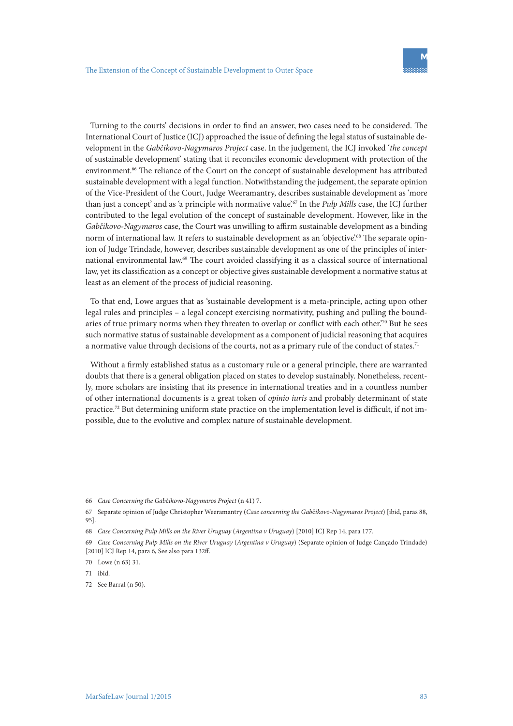Turning to the courts' decisions in order to find an answer, two cases need to be considered. The International Court of Justice (ICJ) approached the issue of defining the legal status of sustainable development in the *Gabčikovo-Nagymaros Project* case. In the judgement, the ICJ invoked '*the concept*  of sustainable development' stating that it reconciles economic development with protection of the environment.<sup>66</sup> The reliance of the Court on the concept of sustainable development has attributed sustainable development with a legal function. Notwithstanding the judgement, the separate opinion of the Vice-President of the Court, Judge Weeramantry, describes sustainable development as 'more than just a concept' and as 'a principle with normative value'.67 In the *Pulp Mills* case, the ICJ further contributed to the legal evolution of the concept of sustainable development. However, like in the *Gabčikovo-Nagymaros* case, the Court was unwilling to affirm sustainable development as a binding norm of international law. It refers to sustainable development as an 'objective'.<sup>68</sup> The separate opinion of Judge Trindade, however, describes sustainable development as one of the principles of international environmental law.69 The court avoided classifying it as a classical source of international law, yet its classification as a concept or objective gives sustainable development a normative status at least as an element of the process of judicial reasoning.

To that end, Lowe argues that as 'sustainable development is a meta-principle, acting upon other legal rules and principles – a legal concept exercising normativity, pushing and pulling the boundaries of true primary norms when they threaten to overlap or conflict with each other.<sup>70</sup> But he sees such normative status of sustainable development as a component of judicial reasoning that acquires a normative value through decisions of the courts, not as a primary rule of the conduct of states.<sup>71</sup>

Without a firmly established status as a customary rule or a general principle, there are warranted doubts that there is a general obligation placed on states to develop sustainably. Nonetheless, recently, more scholars are insisting that its presence in international treaties and in a countless number of other international documents is a great token of *opinio iuris* and probably determinant of state practice.72 But determining uniform state practice on the implementation level is difficult, if not impossible, due to the evolutive and complex nature of sustainable development.

<sup>66</sup> *Case Concerning the Gab*č*ikovo-Nagymaros Project* (n 41) 7.

<sup>67</sup> Separate opinion of Judge Christopher Weeramantry (*Case concerning the Gab*č*ikovo-Nagymaros Project*) [ibid, paras 88, 95].

<sup>68</sup> *Case Concerning Pulp Mills on the River Uruguay* (*Argentina v Uruguay*) [2010] ICJ Rep 14, para 177.

<sup>69</sup> *Case Concerning Pulp Mills on the River Uruguay* (*Argentina v Uruguay*) (Separate opinion of Judge Cançado Trindade) [2010] ICJ Rep 14, para 6, See also para 132ff.

<sup>70</sup> Lowe (n 63) 31.

<sup>71</sup> ibid.

<sup>72</sup> See Barral (n 50).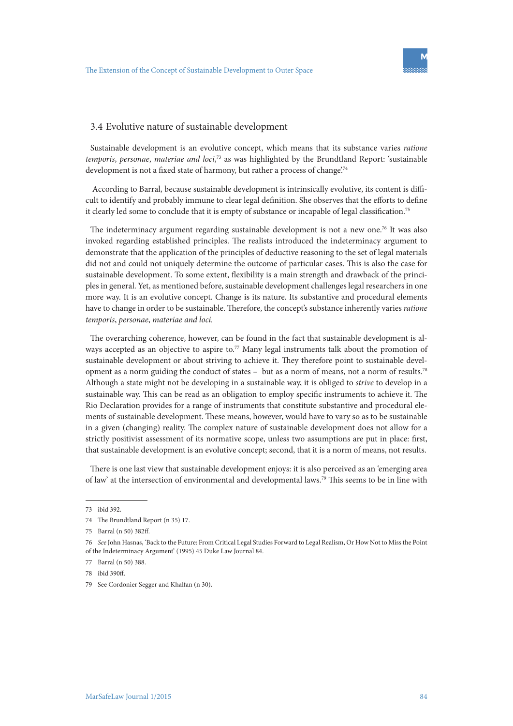

#### 3.4 Evolutive nature of sustainable development

Sustainable development is an evolutive concept, which means that its substance varies *ratione temporis*, *personae*, *materiae and loci*, 73 as was highlighted by the Brundtland Report: 'sustainable development is not a fixed state of harmony, but rather a process of change.<sup>74</sup>

 According to Barral, because sustainable development is intrinsically evolutive, its content is difficult to identify and probably immune to clear legal definition. She observes that the efforts to define it clearly led some to conclude that it is empty of substance or incapable of legal classification.<sup>75</sup>

The indeterminacy argument regarding sustainable development is not a new one.76 It was also invoked regarding established principles. The realists introduced the indeterminacy argument to demonstrate that the application of the principles of deductive reasoning to the set of legal materials did not and could not uniquely determine the outcome of particular cases. This is also the case for sustainable development. To some extent, flexibility is a main strength and drawback of the principles in general. Yet, as mentioned before, sustainable development challenges legal researchers in one more way. It is an evolutive concept. Change is its nature. Its substantive and procedural elements have to change in order to be sustainable. Therefore, the concept's substance inherently varies *ratione temporis*, *personae*, *materiae and loci.*

The overarching coherence, however, can be found in the fact that sustainable development is always accepted as an objective to aspire to.<sup>77</sup> Many legal instruments talk about the promotion of sustainable development or about striving to achieve it. They therefore point to sustainable development as a norm guiding the conduct of states – but as a norm of means, not a norm of results.78 Although a state might not be developing in a sustainable way, it is obliged to *strive* to develop in a sustainable way. This can be read as an obligation to employ specific instruments to achieve it. The Rio Declaration provides for a range of instruments that constitute substantive and procedural elements of sustainable development. These means, however, would have to vary so as to be sustainable in a given (changing) reality. The complex nature of sustainable development does not allow for a strictly positivist assessment of its normative scope, unless two assumptions are put in place: first, that sustainable development is an evolutive concept; second, that it is a norm of means, not results.

There is one last view that sustainable development enjoys: it is also perceived as an 'emerging area of law' at the intersection of environmental and developmental laws.79 This seems to be in line with

<sup>73</sup> ibid 392.

<sup>74</sup> The Brundtland Report (n 35) 17.

<sup>75</sup> Barral (n 50) 382ff.

<sup>76</sup> *See* John Hasnas, 'Back to the Future: From Critical Legal Studies Forward to Legal Realism, Or How Not to Miss the Point of the Indeterminacy Argument' (1995) 45 Duke Law Journal 84.

<sup>77</sup> Barral (n 50) 388.

<sup>78</sup> ibid 390ff.

<sup>79</sup> See Cordonier Segger and Khalfan (n 30).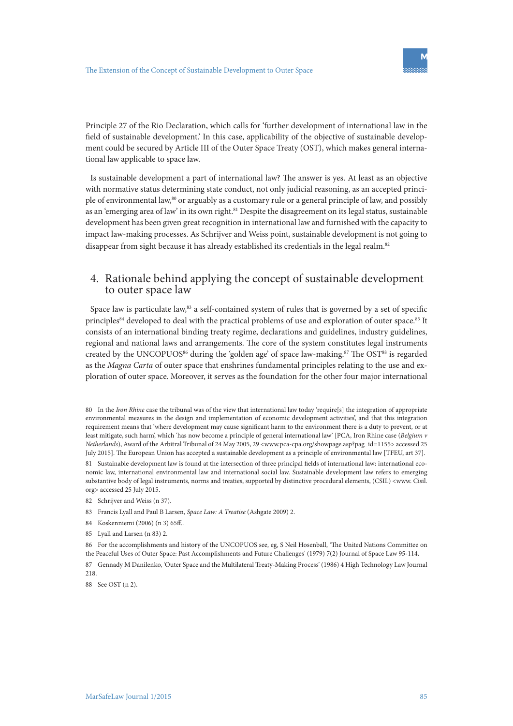Principle 27 of the Rio Declaration, which calls for 'further development of international law in the field of sustainable development.' In this case, applicability of the objective of sustainable development could be secured by Article III of the Outer Space Treaty (OST), which makes general international law applicable to space law.

Is sustainable development a part of international law? The answer is yes. At least as an objective with normative status determining state conduct, not only judicial reasoning, as an accepted principle of environmental law,80 or arguably as a customary rule or a general principle of law, and possibly as an 'emerging area of law' in its own right.<sup>81</sup> Despite the disagreement on its legal status, sustainable development has been given great recognition in international law and furnished with the capacity to impact law-making processes. As Schrijver and Weiss point, sustainable development is not going to disappear from sight because it has already established its credentials in the legal realm.<sup>82</sup>

# 4. Rationale behind applying the concept of sustainable development to outer space law

Space law is particulate law,<sup>83</sup> a self-contained system of rules that is governed by a set of specific principles<sup>84</sup> developed to deal with the practical problems of use and exploration of outer space.<sup>85</sup> It consists of an international binding treaty regime, declarations and guidelines, industry guidelines, regional and national laws and arrangements. The core of the system constitutes legal instruments created by the UNCOPUOS<sup>86</sup> during the 'golden age' of space law-making.<sup>87</sup> The OST<sup>88</sup> is regarded as the *Magna Carta* of outer space that enshrines fundamental principles relating to the use and exploration of outer space. Moreover, it serves as the foundation for the other four major international

<sup>80</sup> In the *Iron Rhine* case the tribunal was of the view that international law today 'require[s] the integration of appropriate environmental measures in the design and implementation of economic development activities', and that this integration requirement means that 'where development may cause significant harm to the environment there is a duty to prevent, or at least mitigate, such harm', which 'has now become a principle of general international law' [PCA, Iron Rhine case (*Belgium v Netherlands*), Award of the Arbitral Tribunal of 24 May 2005, 29 <www.pca-cpa.org/showpage.asp?pag\_id=1155> accessed 25 July 2015]. The European Union has accepted a sustainable development as a principle of environmental law [TFEU, art 37].

<sup>81</sup> Sustainable development law is found at the intersection of three principal fields of international law: international economic law, international environmental law and international social law. Sustainable development law refers to emerging substantive body of legal instruments, norms and treaties, supported by distinctive procedural elements, (CSIL) <www. Cisil. org> accessed 25 July 2015.

<sup>82</sup> Schrijver and Weiss (n 37).

<sup>83</sup> Francis Lyall and Paul B Larsen, *Space Law: A Treatise* (Ashgate 2009) 2.

<sup>84</sup> Koskenniemi (2006) (n 3) 65ff..

<sup>85</sup> Lyall and Larsen (n 83) 2.

<sup>86</sup> For the accomplishments and history of the UNCOPUOS see, eg, S Neil Hosenball, 'The United Nations Committee on the Peaceful Uses of Outer Space: Past Accomplishments and Future Challenges' (1979) 7(2) Journal of Space Law 95-114.

<sup>87</sup> Gennady M Danilenko, 'Outer Space and the Multilateral Treaty-Making Process' (1986) 4 High Technology Law Journal 218.

<sup>88</sup> See OST (n 2).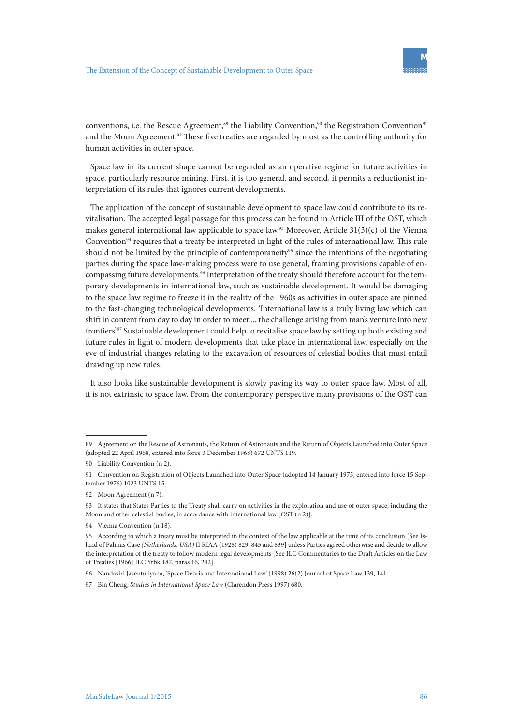conventions, i.e. the Rescue Agreement,<sup>89</sup> the Liability Convention,<sup>90</sup> the Registration Convention<sup>91</sup> and the Moon Agreement.<sup>92</sup> These five treaties are regarded by most as the controlling authority for human activities in outer space.

Space law in its current shape cannot be regarded as an operative regime for future activities in space, particularly resource mining. First, it is too general, and second, it permits a reductionist interpretation of its rules that ignores current developments.

The application of the concept of sustainable development to space law could contribute to its revitalisation. The accepted legal passage for this process can be found in Article III of the OST, which makes general international law applicable to space law.<sup>93</sup> Moreover, Article 31(3)(c) of the Vienna Convention<sup>94</sup> requires that a treaty be interpreted in light of the rules of international law. This rule should not be limited by the principle of contemporaneity<sup>95</sup> since the intentions of the negotiating parties during the space law-making process were to use general, framing provisions capable of encompassing future developments.<sup>96</sup> Interpretation of the treaty should therefore account for the temporary developments in international law, such as sustainable development. It would be damaging to the space law regime to freeze it in the reality of the 1960s as activities in outer space are pinned to the fast-changing technological developments. 'International law is a truly living law which can shift in content from day to day in order to meet ... the challenge arising from man's venture into new frontiers'.97 Sustainable development could help to revitalise space law by setting up both existing and future rules in light of modern developments that take place in international law, especially on the eve of industrial changes relating to the excavation of resources of celestial bodies that must entail drawing up new rules.

It also looks like sustainable development is slowly paving its way to outer space law. Most of all, it is not extrinsic to space law. From the contemporary perspective many provisions of the OST can

<sup>89</sup> Agreement on the Rescue of Astronauts, the Return of Astronauts and the Return of Objects Launched into Outer Space (adopted 22 April 1968, entered into force 3 December 1968) 672 UNTS 119.

<sup>90</sup> Liability Convention (n 2).

<sup>91</sup> Convention on Registration of Objects Launched into Outer Space (adopted 14 January 1975, entered into force 15 September 1976) 1023 UNTS 15.

<sup>92</sup> Moon Agreement (n 7).

<sup>93</sup> It states that States Parties to the Treaty shall carry on activities in the exploration and use of outer space, including the Moon and other celestial bodies, in accordance with international law [OST (n 2)].

<sup>94</sup> Vienna Convention (n 18).

<sup>95</sup> According to which a treaty must be interpreted in the context of the law applicable at the time of its conclusion [See Island of Palmas Case *(Netherlands, USA)* II RIAA (1928) 829, 845 and 839] unless Parties agreed otherwise and decide to allow the interpretation of the treaty to follow modern legal developments [See ILC Commentaries to the Draft Articles on the Law of Treaties [1966] ILC Yrbk 187, paras 16, 242].

<sup>96</sup> Nandasiri Jasentuliyana, 'Space Debris and International Law' (1998) 26(2) Journal of Space Law 139, 141.

<sup>97</sup> Bin Cheng, *Studies in International Space Law* (Clarendon Press 1997) 680.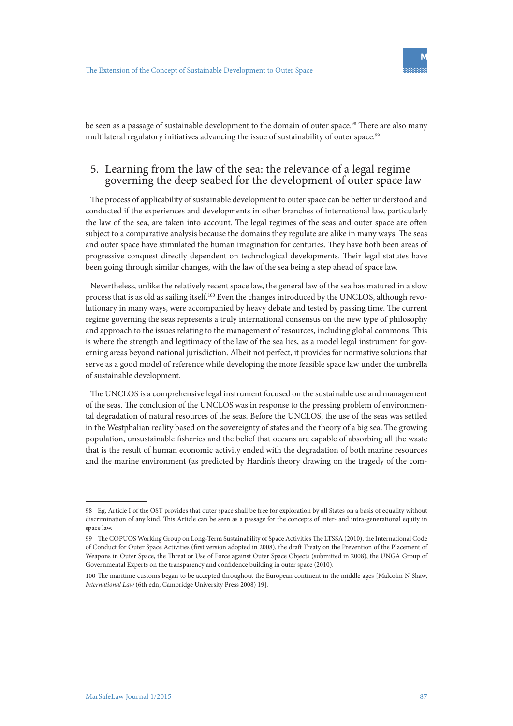be seen as a passage of sustainable development to the domain of outer space.<sup>98</sup> There are also many multilateral regulatory initiatives advancing the issue of sustainability of outer space.<sup>99</sup>

# 5. Learning from the law of the sea: the relevance of a legal regime governing the deep seabed for the development of outer space law

The process of applicability of sustainable development to outer space can be better understood and conducted if the experiences and developments in other branches of international law, particularly the law of the sea, are taken into account. The legal regimes of the seas and outer space are often subject to a comparative analysis because the domains they regulate are alike in many ways. The seas and outer space have stimulated the human imagination for centuries. They have both been areas of progressive conquest directly dependent on technological developments. Their legal statutes have been going through similar changes, with the law of the sea being a step ahead of space law.

Nevertheless, unlike the relatively recent space law, the general law of the sea has matured in a slow process that is as old as sailing itself.100 Even the changes introduced by the UNCLOS, although revolutionary in many ways, were accompanied by heavy debate and tested by passing time. The current regime governing the seas represents a truly international consensus on the new type of philosophy and approach to the issues relating to the management of resources, including global commons. This is where the strength and legitimacy of the law of the sea lies, as a model legal instrument for governing areas beyond national jurisdiction. Albeit not perfect, it provides for normative solutions that serve as a good model of reference while developing the more feasible space law under the umbrella of sustainable development.

The UNCLOS is a comprehensive legal instrument focused on the sustainable use and management of the seas. The conclusion of the UNCLOS was in response to the pressing problem of environmental degradation of natural resources of the seas. Before the UNCLOS, the use of the seas was settled in the Westphalian reality based on the sovereignty of states and the theory of a big sea. The growing population, unsustainable fisheries and the belief that oceans are capable of absorbing all the waste that is the result of human economic activity ended with the degradation of both marine resources and the marine environment (as predicted by Hardin's theory drawing on the tragedy of the com-

<sup>98</sup> Eg, Article I of the OST provides that outer space shall be free for exploration by all States on a basis of equality without discrimination of any kind. This Article can be seen as a passage for the concepts of inter- and intra-generational equity in space law.

<sup>99</sup> The COPUOS Working Group on Long-Term Sustainability of Space Activities The LTSSA (2010), the International Code of Conduct for Outer Space Activities (first version adopted in 2008), the draft Treaty on the Prevention of the Placement of Weapons in Outer Space, the Threat or Use of Force against Outer Space Objects (submitted in 2008), the UNGA Group of Governmental Experts on the transparency and confidence building in outer space (2010).

<sup>100</sup> The maritime customs began to be accepted throughout the European continent in the middle ages [Malcolm N Shaw, *International Law* (6th edn, Cambridge University Press 2008) 19].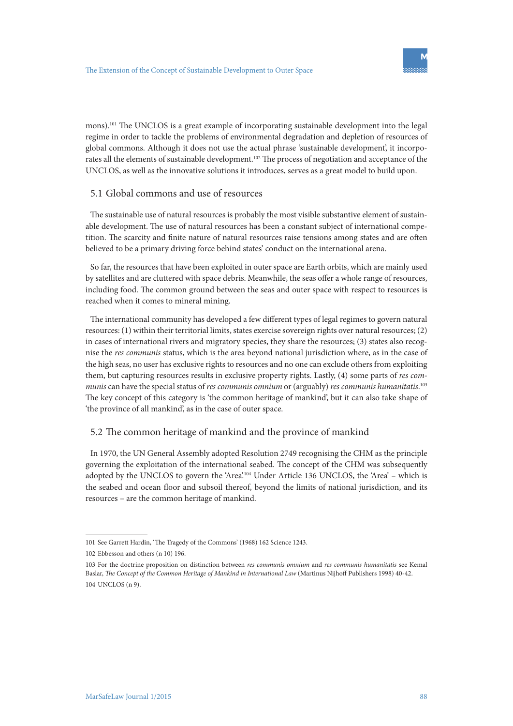mons).<sup>101</sup> The UNCLOS is a great example of incorporating sustainable development into the legal regime in order to tackle the problems of environmental degradation and depletion of resources of global commons. Although it does not use the actual phrase 'sustainable development', it incorporates all the elements of sustainable development.102 The process of negotiation and acceptance of the UNCLOS, as well as the innovative solutions it introduces, serves as a great model to build upon.

#### 5.1 Global commons and use of resources

The sustainable use of natural resources is probably the most visible substantive element of sustainable development. The use of natural resources has been a constant subject of international competition. The scarcity and finite nature of natural resources raise tensions among states and are often believed to be a primary driving force behind states' conduct on the international arena.

So far, the resources that have been exploited in outer space are Earth orbits, which are mainly used by satellites and are cluttered with space debris. Meanwhile, the seas offer a whole range of resources, including food. The common ground between the seas and outer space with respect to resources is reached when it comes to mineral mining.

The international community has developed a few different types of legal regimes to govern natural resources: (1) within their territorial limits, states exercise sovereign rights over natural resources; (2) in cases of international rivers and migratory species, they share the resources; (3) states also recognise the *res communis* status, which is the area beyond national jurisdiction where, as in the case of the high seas, no user has exclusive rights to resources and no one can exclude others from exploiting them, but capturing resources results in exclusive property rights. Lastly, (4) some parts of *res communis* can have the special status of *rescommunis omnium* or (arguably) *rescommunis humanitatis*. 103 The key concept of this category is 'the common heritage of mankind', but it can also take shape of 'the province of all mankind', as in the case of outer space.

#### 5.2 The common heritage of mankind and the province of mankind

In 1970, the UN General Assembly adopted Resolution 2749 recognising the CHM as the principle governing the exploitation of the international seabed. The concept of the CHM was subsequently adopted by the UNCLOS to govern the 'Area'.104 Under Article 136 UNCLOS, the 'Area' – which is the seabed and ocean floor and subsoil thereof, beyond the limits of national jurisdiction, and its resources – are the common heritage of mankind.

<sup>101</sup> See Garrett Hardin, 'The Tragedy of the Commons' (1968) 162 Science 1243.

<sup>102</sup> Ebbesson and others (n 10) 196.

<sup>103</sup> For the doctrine proposition on distinction between *res communis omnium* and *res communis humanitatis* see Kemal Baslar, *The Concept of the Common Heritage of Mankind in International Law* (Martinus Nijhoff Publishers 1998) 40-42.  $104$  UNCLOS  $(n, 9)$ .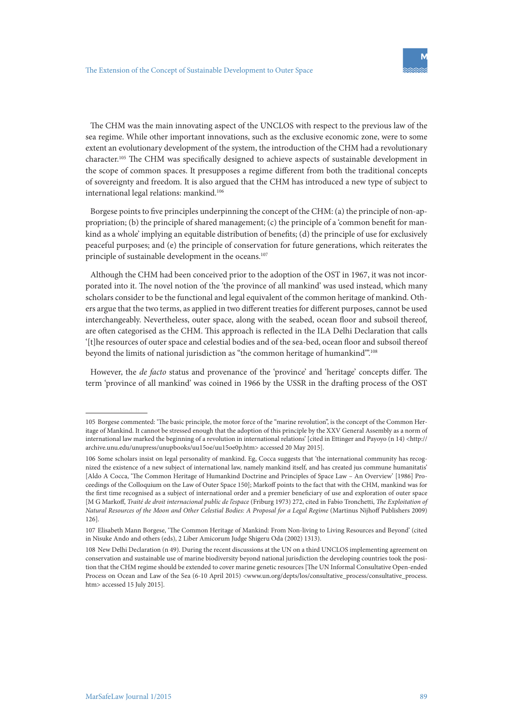The CHM was the main innovating aspect of the UNCLOS with respect to the previous law of the sea regime. While other important innovations, such as the exclusive economic zone, were to some extent an evolutionary development of the system, the introduction of the CHM had a revolutionary character.105 The CHM was specifically designed to achieve aspects of sustainable development in the scope of common spaces. It presupposes a regime different from both the traditional concepts of sovereignty and freedom. It is also argued that the CHM has introduced a new type of subject to international legal relations: mankind.<sup>106</sup>

Borgese points to five principles underpinning the concept of the CHM: (a) the principle of non-appropriation; (b) the principle of shared management; (c) the principle of a 'common benefit for mankind as a whole' implying an equitable distribution of benefits; (d) the principle of use for exclusively peaceful purposes; and (e) the principle of conservation for future generations, which reiterates the principle of sustainable development in the oceans.<sup>107</sup>

Although the CHM had been conceived prior to the adoption of the OST in 1967, it was not incorporated into it. The novel notion of the 'the province of all mankind' was used instead, which many scholars consider to be the functional and legal equivalent of the common heritage of mankind. Others argue that the two terms, as applied in two different treaties for different purposes, cannot be used interchangeably. Nevertheless, outer space, along with the seabed, ocean floor and subsoil thereof, are often categorised as the CHM. This approach is reflected in the ILA Delhi Declaration that calls '[t]he resources of outer space and celestial bodies and of the sea-bed, ocean floor and subsoil thereof beyond the limits of national jurisdiction as "the common heritage of humankind".<sup>108</sup>

However, the *de facto* status and provenance of the 'province' and 'heritage' concepts differ. The term 'province of all mankind' was coined in 1966 by the USSR in the drafting process of the OST

<sup>105</sup> Borgese commented: 'The basic principle, the motor force of the "marine revolution", is the concept of the Common Heritage of Mankind. It cannot be stressed enough that the adoption of this principle by the XXV General Assembly as a norm of international law marked the beginning of a revolution in international relations' [cited in Ettinger and Payoyo (n 14) <http:// archive.unu.edu/unupress/unupbooks/uu15oe/uu15oe0p.htm> accessed 20 May 2015].

<sup>106</sup> Some scholars insist on legal personality of mankind. Eg, Cocca suggests that 'the international community has recognized the existence of a new subject of international law, namely mankind itself, and has created jus commune humanitatis' [Aldo A Cocca, 'The Common Heritage of Humankind Doctrine and Principles of Space Law – An Overview' [1986] Proceedings of the Colloquium on the Law of Outer Space 150]; Markoff points to the fact that with the CHM, mankind was for the first time recognised as a subject of international order and a premier beneficiary of use and exploration of outer space [M G Markoff, *Traité de droit internacional public de l'espace* (Friburg 1973) 272, cited in Fabio Tronchetti, *The Exploitation of Natural Resources of the Moon and Other Celestial Bodies: A Proposal for a Legal Regime* (Martinus Nijhoff Publishers 2009) 126].

<sup>107</sup> Elisabeth Mann Borgese, 'The Common Heritage of Mankind: From Non-living to Living Resources and Beyond' (cited in Nisuke Ando and others (eds), 2 Liber Amicorum Judge Shigeru Oda (2002) 1313).

<sup>108</sup> New Delhi Declaration (n 49). During the recent discussions at the UN on a third UNCLOS implementing agreement on conservation and sustainable use of marine biodiversity beyond national jurisdiction the developing countries took the position that the CHM regime should be extended to cover marine genetic resources [The UN Informal Consultative Open-ended Process on Ocean and Law of the Sea (6-10 April 2015) <www.un.org/depts/los/consultative\_process/consultative\_process. htm> accessed 15 July 2015].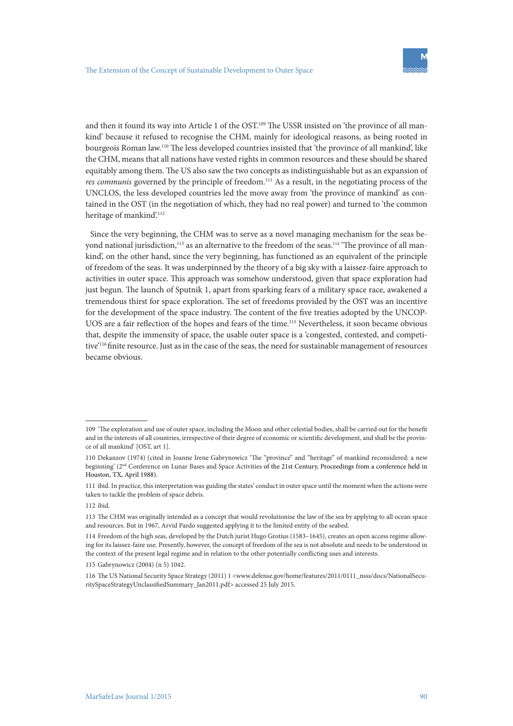and then it found its way into Article 1 of the OST.<sup>109</sup> The USSR insisted on 'the province of all mankind' because it refused to recognise the CHM, mainly for ideological reasons, as being rooted in bourgeois Roman law.110 The less developed countries insisted that 'the province of all mankind', like the CHM, means that all nations have vested rights in common resources and these should be shared equitably among them. The US also saw the two concepts as indistinguishable but as an expansion of *res communis* governed by the principle of freedom.<sup>111</sup> As a result, in the negotiating process of the UNCLOS, the less developed countries led the move away from 'the province of mankind' as contained in the OST (in the negotiation of which, they had no real power) and turned to 'the common heritage of mankind'.<sup>112</sup>

Since the very beginning, the CHM was to serve as a novel managing mechanism for the seas beyond national jurisdiction,<sup>113</sup> as an alternative to the freedom of the seas.<sup>114</sup> 'The province of all mankind', on the other hand, since the very beginning, has functioned as an equivalent of the principle of freedom of the seas. It was underpinned by the theory of a big sky with a laissez-faire approach to activities in outer space. This approach was somehow understood, given that space exploration had just begun. The launch of Sputnik 1, apart from sparking fears of a military space race, awakened a tremendous thirst for space exploration. The set of freedoms provided by the OST was an incentive for the development of the space industry. The content of the five treaties adopted by the UNCOP-UOS are a fair reflection of the hopes and fears of the time.<sup>115</sup> Nevertheless, it soon became obvious that, despite the immensity of space, the usable outer space is a 'congested, contested, and competitive<sup>'116</sup> finite resource. Just as in the case of the seas, the need for sustainable management of resources became obvious.

<sup>109</sup> 'The exploration and use of outer space, including the Moon and other celestial bodies, shall be carried out for the benefit and in the interests of all countries, irrespective of their degree of economic or scientific development, and shall be the province of all mankind' [OST, art 1].

<sup>110</sup> Dekanzov (1974) (cited in Joanne Irene Gabrynowicz 'The "province" and "heritage" of mankind reconsidered: a new beginning' (2<sup>nd</sup> Conference on Lunar Bases and Space Activities of the 21st Century, Proceedings from a conference held in Houston, TX, April 1988).

<sup>111</sup> ibid. In practice, this interpretation was guiding the states' conduct in outer space until the moment when the actions were taken to tackle the problem of space debris.

<sup>112</sup> ibid.

<sup>113</sup> The CHM was originally intended as a concept that would revolutionise the law of the sea by applying to all ocean space and resources. But in 1967, Arvid Pardo suggested applying it to the limited entity of the seabed.

<sup>114</sup> Freedom of the high seas, developed by the Dutch jurist Hugo Grotius (1583–1645), creates an open access regime allowing for its laissez-faire use. Presently, however, the concept of freedom of the sea is not absolute and needs to be understood in the context of the present legal regime and in relation to the other potentially conflicting uses and interests.

<sup>115</sup> Gabrynowicz (2004) (n 5) 1042.

<sup>116</sup> The US National Security Space Strategy (2011) 1 <www.defense.gov/home/features/2011/0111\_nsss/docs/NationalSecuritySpaceStrategyUnclassifiedSummary\_Jan2011.pdf> accessed 25 July 2015.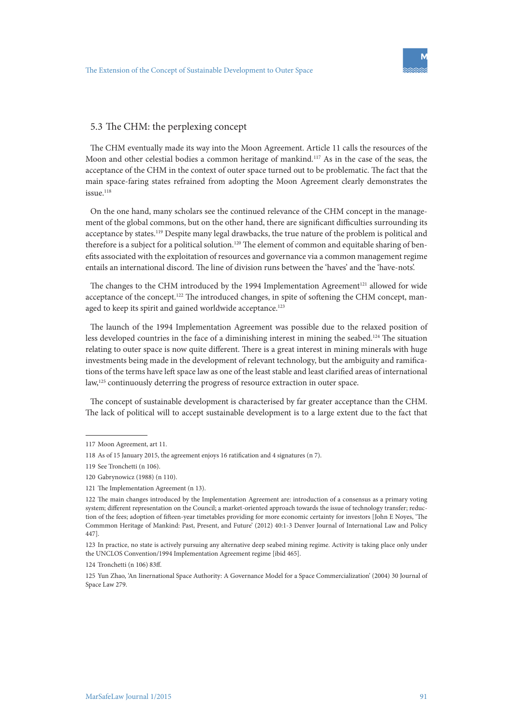### 5.3 The CHM: the perplexing concept

The CHM eventually made its way into the Moon Agreement. Article 11 calls the resources of the Moon and other celestial bodies a common heritage of mankind.<sup>117</sup> As in the case of the seas, the acceptance of the CHM in the context of outer space turned out to be problematic. The fact that the main space-faring states refrained from adopting the Moon Agreement clearly demonstrates the issue.<sup>118</sup>

On the one hand, many scholars see the continued relevance of the CHM concept in the management of the global commons, but on the other hand, there are significant difficulties surrounding its acceptance by states.<sup>119</sup> Despite many legal drawbacks, the true nature of the problem is political and therefore is a subject for a political solution.<sup>120</sup> The element of common and equitable sharing of benefits associated with the exploitation of resources and governance via a common management regime entails an international discord. The line of division runs between the 'haves' and the 'have-nots'.

The changes to the CHM introduced by the 1994 Implementation Agreement<sup>121</sup> allowed for wide acceptance of the concept.<sup>122</sup> The introduced changes, in spite of softening the CHM concept, managed to keep its spirit and gained worldwide acceptance.<sup>123</sup>

The launch of the 1994 Implementation Agreement was possible due to the relaxed position of less developed countries in the face of a diminishing interest in mining the seabed.124 The situation relating to outer space is now quite different. There is a great interest in mining minerals with huge investments being made in the development of relevant technology, but the ambiguity and ramifications of the terms have left space law as one of the least stable and least clarified areas of international law,<sup>125</sup> continuously deterring the progress of resource extraction in outer space.

The concept of sustainable development is characterised by far greater acceptance than the CHM. The lack of political will to accept sustainable development is to a large extent due to the fact that

<sup>117</sup> Moon Agreement, art 11.

<sup>118</sup> As of 15 January 2015, the agreement enjoys 16 ratification and 4 signatures (n 7).

<sup>119</sup> See Tronchetti (n 106).

<sup>120</sup> Gabrynowicz (1988) (n 110).

<sup>121</sup> The Implementation Agreement (n 13).

<sup>122</sup> The main changes introduced by the Implementation Agreement are: introduction of a consensus as a primary voting system; different representation on the Council; a market-oriented approach towards the issue of technology transfer; reduction of the fees; adoption of fifteen-year timetables providing for more economic certainty for investors [John E Noyes, 'The Commmon Heritage of Mankind: Past, Present, and Future' (2012) 40:1-3 Denver Journal of International Law and Policy 447].

<sup>123</sup> In practice, no state is actively pursuing any alternative deep seabed mining regime. Activity is taking place only under the UNCLOS Convention/1994 Implementation Agreement regime [ibid 465].

<sup>124</sup> Tronchetti (n 106) 83ff.

<sup>125</sup> Yun Zhao, 'An Iinernational Space Authority: A Governance Model for a Space Commercialization' (2004) 30 Journal of Space Law 279.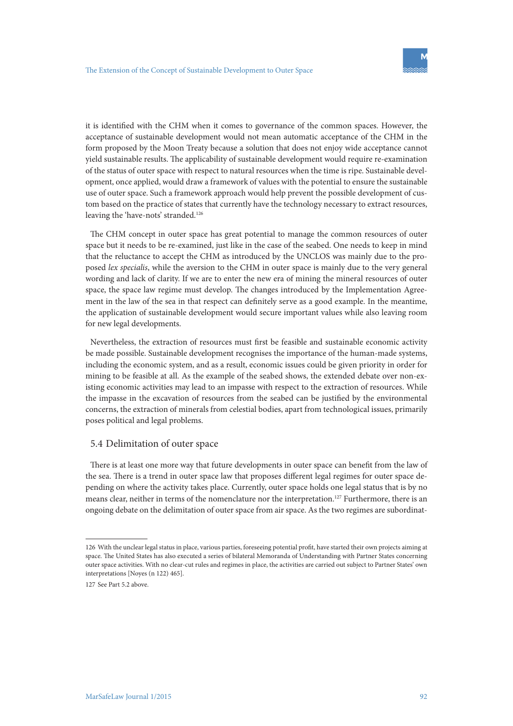it is identified with the CHM when it comes to governance of the common spaces. However, the acceptance of sustainable development would not mean automatic acceptance of the CHM in the form proposed by the Moon Treaty because a solution that does not enjoy wide acceptance cannot yield sustainable results. The applicability of sustainable development would require re-examination of the status of outer space with respect to natural resources when the time is ripe. Sustainable development, once applied, would draw a framework of values with the potential to ensure the sustainable use of outer space. Such a framework approach would help prevent the possible development of custom based on the practice of states that currently have the technology necessary to extract resources, leaving the 'have-nots' stranded.<sup>126</sup>

The CHM concept in outer space has great potential to manage the common resources of outer space but it needs to be re-examined, just like in the case of the seabed. One needs to keep in mind that the reluctance to accept the CHM as introduced by the UNCLOS was mainly due to the proposed *lex specialis*, while the aversion to the CHM in outer space is mainly due to the very general wording and lack of clarity. If we are to enter the new era of mining the mineral resources of outer space, the space law regime must develop. The changes introduced by the Implementation Agreement in the law of the sea in that respect can definitely serve as a good example. In the meantime, the application of sustainable development would secure important values while also leaving room for new legal developments.

Nevertheless, the extraction of resources must first be feasible and sustainable economic activity be made possible. Sustainable development recognises the importance of the human-made systems, including the economic system, and as a result, economic issues could be given priority in order for mining to be feasible at all. As the example of the seabed shows, the extended debate over non-existing economic activities may lead to an impasse with respect to the extraction of resources. While the impasse in the excavation of resources from the seabed can be justified by the environmental concerns, the extraction of minerals from celestial bodies, apart from technological issues, primarily poses political and legal problems.

#### 5.4 Delimitation of outer space

There is at least one more way that future developments in outer space can benefit from the law of the sea. There is a trend in outer space law that proposes different legal regimes for outer space depending on where the activity takes place. Currently, outer space holds one legal status that is by no means clear, neither in terms of the nomenclature nor the interpretation.127 Furthermore, there is an ongoing debate on the delimitation of outer space from air space. As the two regimes are subordinat-

<sup>126</sup> With the unclear legal status in place, various parties, foreseeing potential profit, have started their own projects aiming at space. The United States has also executed a series of bilateral Memoranda of Understanding with Partner States concerning outer space activities. With no clear-cut rules and regimes in place, the activities are carried out subject to Partner States' own interpretations [Noyes (n 122) 465].

<sup>127</sup> See Part 5.2 above.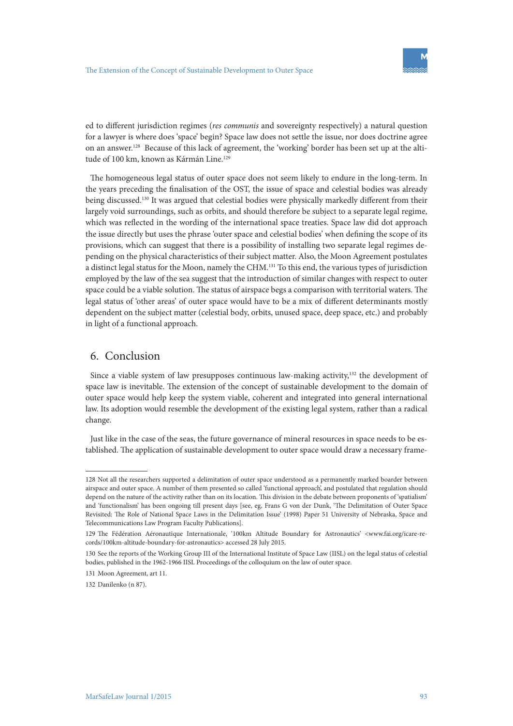ed to different jurisdiction regimes (*res communis* and sovereignty respectively) a natural question for a lawyer is where does 'space' begin? Space law does not settle the issue, nor does doctrine agree on an answer.128 Because of this lack of agreement, the 'working' border has been set up at the altitude of 100 km, known as Kármán Line.<sup>129</sup>

The homogeneous legal status of outer space does not seem likely to endure in the long-term. In the years preceding the finalisation of the OST, the issue of space and celestial bodies was already being discussed.130 It was argued that celestial bodies were physically markedly different from their largely void surroundings, such as orbits, and should therefore be subject to a separate legal regime, which was reflected in the wording of the international space treaties. Space law did dot approach the issue directly but uses the phrase 'outer space and celestial bodies' when defining the scope of its provisions, which can suggest that there is a possibility of installing two separate legal regimes depending on the physical characteristics of their subject matter. Also, the Moon Agreement postulates a distinct legal status for the Moon, namely the CHM.131 To this end, the various types of jurisdiction employed by the law of the sea suggest that the introduction of similar changes with respect to outer space could be a viable solution. The status of airspace begs a comparison with territorial waters. The legal status of 'other areas' of outer space would have to be a mix of different determinants mostly dependent on the subject matter (celestial body, orbits, unused space, deep space, etc.) and probably in light of a functional approach.

# 6. Conclusion

Since a viable system of law presupposes continuous law-making activity, $132$  the development of space law is inevitable. The extension of the concept of sustainable development to the domain of outer space would help keep the system viable, coherent and integrated into general international law. Its adoption would resemble the development of the existing legal system, rather than a radical change.

Just like in the case of the seas, the future governance of mineral resources in space needs to be established. The application of sustainable development to outer space would draw a necessary frame-

<sup>128</sup> Not all the researchers supported a delimitation of outer space understood as a permanently marked boarder between airspace and outer space. A number of them presented so called 'functional approach', and postulated that regulation should depend on the nature of the activity rather than on its location. This division in the debate between proponents of 'spatialism' and 'functionalism' has been ongoing till present days [see, eg, Frans G von der Dunk, 'The Delimitation of Outer Space Revisited: The Role of National Space Laws in the Delimitation Issue' (1998) Paper 51 University of Nebraska, Space and Telecommunications Law Program Faculty Publications].

<sup>129</sup> The Fédération Aéronautique Internationale, '100km Altitude Boundary for Astronautics' <www.fai.org/icare-records/100km-altitude-boundary-for-astronautics> accessed 28 July 2015.

<sup>130</sup> See the reports of the Working Group III of the International Institute of Space Law (IISL) on the legal status of celestial bodies, published in the 1962-1966 IISL Proceedings of the colloquium on the law of outer space.

<sup>131</sup> Moon Agreement, art 11.

<sup>132</sup> Danilenko (n 87).